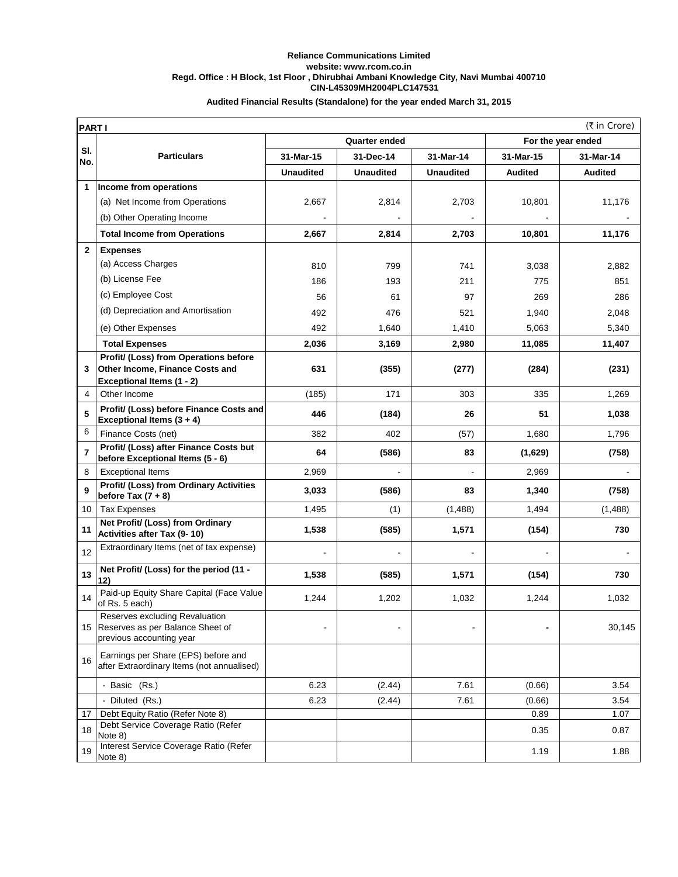## **CIN-L45309MH2004PLC147531 Reliance Communications Limited website: www.rcom.co.in Regd. Office : H Block, 1st Floor , Dhirubhai Ambani Knowledge City, Navi Mumbai 400710 Audited Financial Results (Standalone) for the year ended March 31, 2015**

|                | (₹ in Crore)<br><b>PARTI</b>                                                                      |                  |                  |                  |                    |                |  |
|----------------|---------------------------------------------------------------------------------------------------|------------------|------------------|------------------|--------------------|----------------|--|
|                | <b>Quarter ended</b>                                                                              |                  |                  |                  | For the year ended |                |  |
| SI.<br>No.     | <b>Particulars</b>                                                                                | 31-Mar-15        | 31-Dec-14        | 31-Mar-14        | 31-Mar-15          | 31-Mar-14      |  |
|                |                                                                                                   | <b>Unaudited</b> | <b>Unaudited</b> | <b>Unaudited</b> | <b>Audited</b>     | <b>Audited</b> |  |
| 1              | Income from operations                                                                            |                  |                  |                  |                    |                |  |
|                | (a) Net Income from Operations                                                                    | 2,667            | 2,814            | 2,703            | 10,801             | 11,176         |  |
|                | (b) Other Operating Income                                                                        |                  |                  |                  |                    |                |  |
|                | <b>Total Income from Operations</b>                                                               | 2,667            | 2,814            | 2,703            | 10,801             | 11,176         |  |
| $\mathbf{2}$   | <b>Expenses</b>                                                                                   |                  |                  |                  |                    |                |  |
|                | (a) Access Charges                                                                                | 810              | 799              | 741              | 3,038              | 2,882          |  |
|                | (b) License Fee                                                                                   | 186              | 193              | 211              | 775                | 851            |  |
|                | (c) Employee Cost                                                                                 | 56               | 61               | 97               | 269                | 286            |  |
|                | (d) Depreciation and Amortisation                                                                 | 492              | 476              | 521              | 1,940              | 2,048          |  |
|                | (e) Other Expenses                                                                                | 492              | 1,640            | 1,410            | 5,063              | 5,340          |  |
|                | <b>Total Expenses</b>                                                                             | 2,036            | 3,169            | 2,980            | 11,085             | 11,407         |  |
|                | Profit/ (Loss) from Operations before                                                             |                  |                  |                  |                    |                |  |
| 3              | <b>Other Income, Finance Costs and</b>                                                            | 631              | (355)            | (277)            | (284)              | (231)          |  |
| 4              | <b>Exceptional Items (1 - 2)</b><br>Other Income                                                  | (185)            | 171              | 303              | 335                | 1,269          |  |
|                | Profit/ (Loss) before Finance Costs and                                                           |                  |                  |                  |                    |                |  |
| 5              | Exceptional Items (3 + 4)                                                                         | 446              | (184)            | 26               | 51                 | 1,038          |  |
| 6              | Finance Costs (net)                                                                               | 382              | 402              | (57)             | 1,680              | 1,796          |  |
| $\overline{7}$ | Profit/ (Loss) after Finance Costs but<br>before Exceptional Items (5 - 6)                        | 64               | (586)            | 83               | (1,629)            | (758)          |  |
| 8              | <b>Exceptional Items</b>                                                                          | 2,969            |                  |                  | 2,969              |                |  |
| 9              | Profit/ (Loss) from Ordinary Activities<br>before Tax $(7 + 8)$                                   | 3,033            | (586)            | 83               | 1,340              | (758)          |  |
| 10             | <b>Tax Expenses</b>                                                                               | 1,495            | (1)              | (1,488)          | 1,494              | (1,488)        |  |
| 11             | Net Profit/ (Loss) from Ordinary<br>Activities after Tax (9-10)                                   | 1,538            | (585)            | 1,571            | (154)              | 730            |  |
| 12             | Extraordinary Items (net of tax expense)                                                          |                  |                  |                  |                    |                |  |
| 13             | Net Profit/ (Loss) for the period (11 -<br>12)                                                    | 1,538            | (585)            | 1,571            | (154)              | 730            |  |
| 14             | Paid-up Equity Share Capital (Face Value<br>of Rs. 5 each)                                        | 1,244            | 1,202            | 1,032            | 1,244              | 1,032          |  |
|                | Reserves excluding Revaluation<br>15 Reserves as per Balance Sheet of<br>previous accounting year |                  |                  |                  |                    | 30,145         |  |
| 16             | Earnings per Share (EPS) before and<br>after Extraordinary Items (not annualised)                 |                  |                  |                  |                    |                |  |
|                | - Basic (Rs.)                                                                                     | 6.23             | (2.44)           | 7.61             | (0.66)             | 3.54           |  |
|                | - Diluted (Rs.)                                                                                   | 6.23             | (2.44)           | 7.61             | (0.66)             | 3.54           |  |
| 17             | Debt Equity Ratio (Refer Note 8)                                                                  |                  |                  |                  | 0.89               | 1.07           |  |
| 18             | Debt Service Coverage Ratio (Refer<br>Note 8)                                                     |                  |                  |                  | 0.35               | 0.87           |  |
| 19             | Interest Service Coverage Ratio (Refer<br>Note 8)                                                 |                  |                  |                  | 1.19               | 1.88           |  |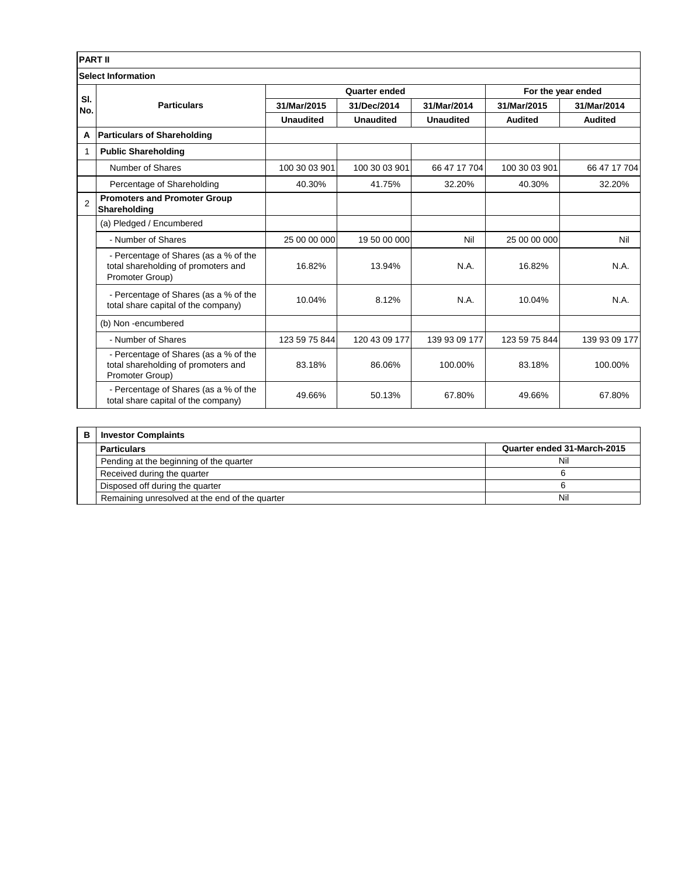|                | <b>PART II</b>                                                                                  |                      |                  |                  |                    |                |  |
|----------------|-------------------------------------------------------------------------------------------------|----------------------|------------------|------------------|--------------------|----------------|--|
|                | <b>Select Information</b>                                                                       |                      |                  |                  |                    |                |  |
| SI.<br>No.     | <b>Particulars</b>                                                                              | <b>Quarter ended</b> |                  |                  | For the year ended |                |  |
|                |                                                                                                 | 31/Mar/2015          | 31/Dec/2014      | 31/Mar/2014      | 31/Mar/2015        | 31/Mar/2014    |  |
|                |                                                                                                 | <b>Unaudited</b>     | <b>Unaudited</b> | <b>Unaudited</b> | <b>Audited</b>     | <b>Audited</b> |  |
| A              | <b>Particulars of Shareholding</b>                                                              |                      |                  |                  |                    |                |  |
| 1              | <b>Public Shareholding</b>                                                                      |                      |                  |                  |                    |                |  |
|                | Number of Shares                                                                                | 100 30 03 901        | 100 30 03 901    | 66 47 17 704     | 100 30 03 901      | 66 47 17 704   |  |
|                | Percentage of Shareholding                                                                      | 40.30%               | 41.75%           | 32.20%           | 40.30%             | 32.20%         |  |
| $\overline{2}$ | <b>Promoters and Promoter Group</b><br>Shareholding                                             |                      |                  |                  |                    |                |  |
|                | (a) Pledged / Encumbered                                                                        |                      |                  |                  |                    |                |  |
|                | - Number of Shares                                                                              | 25 00 00 000         | 19 50 00 000     | Nil              | 25 00 00 000       | Nil            |  |
|                | - Percentage of Shares (as a % of the<br>total shareholding of promoters and<br>Promoter Group) | 16.82%               | 13.94%           | N.A.             | 16.82%             | N.A.           |  |
|                | - Percentage of Shares (as a % of the<br>total share capital of the company)                    | 10.04%               | 8.12%            | N.A.             | 10.04%             | N.A.           |  |
|                | (b) Non-encumbered                                                                              |                      |                  |                  |                    |                |  |
|                | - Number of Shares                                                                              | 123 59 75 844        | 120 43 09 177    | 139 93 09 177    | 123 59 75 844      | 139 93 09 177  |  |
|                | - Percentage of Shares (as a % of the<br>total shareholding of promoters and<br>Promoter Group) | 83.18%               | 86.06%           | 100.00%          | 83.18%             | 100.00%        |  |
|                | - Percentage of Shares (as a % of the<br>total share capital of the company)                    | 49.66%               | 50.13%           | 67.80%           | 49.66%             | 67.80%         |  |

| в | <b>Investor Complaints</b>                     |                             |  |  |
|---|------------------------------------------------|-----------------------------|--|--|
|   | <b>Particulars</b>                             | Quarter ended 31-March-2015 |  |  |
|   | Pending at the beginning of the quarter        | Nil                         |  |  |
|   | Received during the quarter                    |                             |  |  |
|   | Disposed off during the quarter                |                             |  |  |
|   | Remaining unresolved at the end of the quarter | Nil                         |  |  |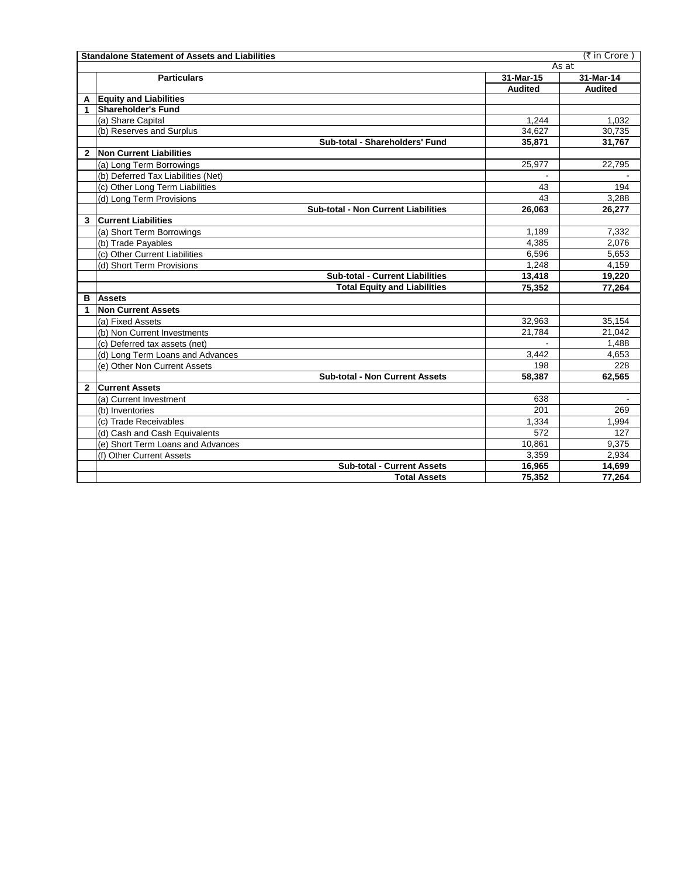|              | (₹ in Crore)<br><b>Standalone Statement of Assets and Liabilities</b> |                |                |  |  |
|--------------|-----------------------------------------------------------------------|----------------|----------------|--|--|
|              |                                                                       | As at          |                |  |  |
|              | <b>Particulars</b>                                                    | 31-Mar-15      | 31-Mar-14      |  |  |
|              |                                                                       | <b>Audited</b> | <b>Audited</b> |  |  |
| A            | <b>Equity and Liabilities</b>                                         |                |                |  |  |
| 1            | <b>Shareholder's Fund</b>                                             |                |                |  |  |
|              | (a) Share Capital                                                     | 1.244          | 1.032          |  |  |
|              | (b) Reserves and Surplus                                              | 34,627         | 30,735         |  |  |
|              | Sub-total - Shareholders' Fund                                        | 35.871         | 31,767         |  |  |
| $\mathbf{2}$ | Non Current Liabilities                                               |                |                |  |  |
|              | (a) Long Term Borrowings                                              | 25,977         | 22,795         |  |  |
|              | (b) Deferred Tax Liabilities (Net)                                    |                |                |  |  |
|              | (c) Other Long Term Liabilities                                       | 43             | 194            |  |  |
|              | (d) Long Term Provisions                                              | 43             | 3,288          |  |  |
|              | <b>Sub-total - Non Current Liabilities</b>                            | 26,063         | 26,277         |  |  |
| 3            | <b>Current Liabilities</b>                                            |                |                |  |  |
|              | (a) Short Term Borrowings                                             | 1,189          | 7,332          |  |  |
|              | (b) Trade Payables                                                    | 4,385          | 2,076          |  |  |
|              | (c) Other Current Liabilities                                         | 6,596          | 5,653          |  |  |
|              | (d) Short Term Provisions                                             | 1,248          | 4,159          |  |  |
|              | <b>Sub-total - Current Liabilities</b>                                | 13,418         | 19,220         |  |  |
|              | <b>Total Equity and Liabilities</b>                                   | 75,352         | 77,264         |  |  |
| в            | <b>Assets</b>                                                         |                |                |  |  |
| 1            | <b>Non Current Assets</b>                                             |                |                |  |  |
|              | (a) Fixed Assets                                                      | 32,963         | 35,154         |  |  |
|              | (b) Non Current Investments                                           | 21,784         | 21,042         |  |  |
|              | (c) Deferred tax assets (net)                                         |                | 1,488          |  |  |
|              | (d) Long Term Loans and Advances                                      | 3,442          | 4,653          |  |  |
|              | (e) Other Non Current Assets                                          | 198            | 228            |  |  |
|              | <b>Sub-total - Non Current Assets</b>                                 | 58,387         | 62,565         |  |  |
| $\mathbf{2}$ | <b>Current Assets</b>                                                 |                |                |  |  |
|              | (a) Current Investment                                                | 638            |                |  |  |
|              | (b) Inventories                                                       | 201            | 269            |  |  |
|              | (c) Trade Receivables                                                 | 1.334          | 1,994          |  |  |
|              | (d) Cash and Cash Equivalents                                         | 572            | 127            |  |  |
|              | (e) Short Term Loans and Advances                                     | 10.861         | 9,375          |  |  |
|              | (f) Other Current Assets                                              | 3.359          | 2.934          |  |  |
|              | <b>Sub-total - Current Assets</b>                                     | 16,965         | 14,699         |  |  |
|              | <b>Total Assets</b>                                                   | 75,352         | 77,264         |  |  |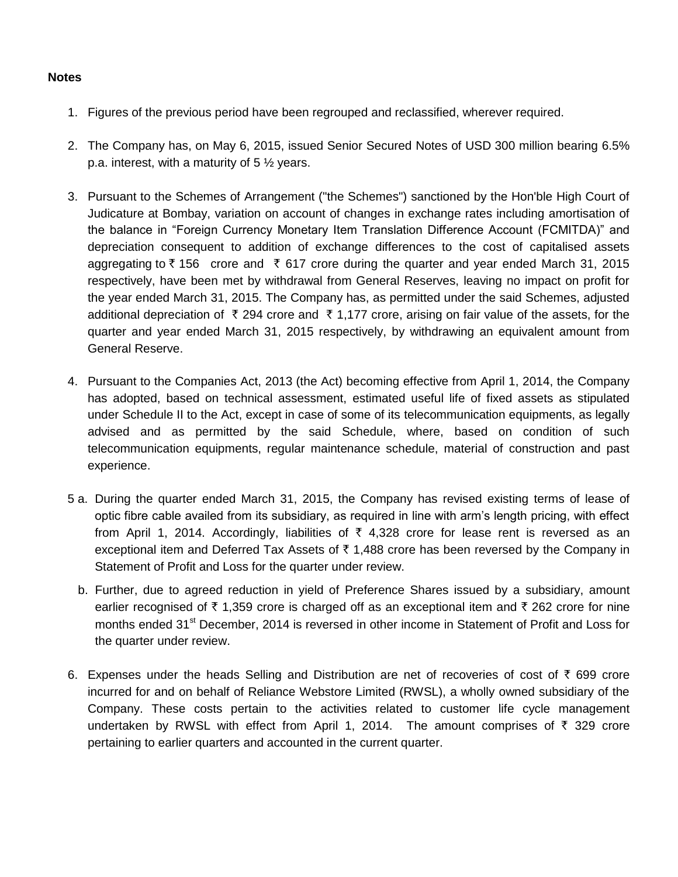## **Notes**

- 1. Figures of the previous period have been regrouped and reclassified, wherever required.
- 2. The Company has, on May 6, 2015, issued Senior Secured Notes of USD 300 million bearing 6.5% p.a. interest, with a maturity of  $5\frac{1}{2}$  years.
- 3. Pursuant to the Schemes of Arrangement ("the Schemes") sanctioned by the Hon'ble High Court of Judicature at Bombay, variation on account of changes in exchange rates including amortisation of the balance in "Foreign Currency Monetary Item Translation Difference Account (FCMITDA)" and depreciation consequent to addition of exchange differences to the cost of capitalised assets aggregating to  $\bar{\tau}$  156 crore and  $\bar{\tau}$  617 crore during the quarter and year ended March 31, 2015 respectively, have been met by withdrawal from General Reserves, leaving no impact on profit for the year ended March 31, 2015. The Company has, as permitted under the said Schemes, adjusted additional depreciation of  $\bar{\tau}$  294 crore and  $\bar{\tau}$  1,177 crore, arising on fair value of the assets, for the quarter and year ended March 31, 2015 respectively, by withdrawing an equivalent amount from General Reserve.
- 4. Pursuant to the Companies Act, 2013 (the Act) becoming effective from April 1, 2014, the Company has adopted, based on technical assessment, estimated useful life of fixed assets as stipulated under Schedule II to the Act, except in case of some of its telecommunication equipments, as legally advised and as permitted by the said Schedule, where, based on condition of such telecommunication equipments, regular maintenance schedule, material of construction and past experience.
- 5 a. During the quarter ended March 31, 2015, the Company has revised existing terms of lease of optic fibre cable availed from its subsidiary, as required in line with arm's length pricing, with effect from April 1, 2014. Accordingly, liabilities of  $\bar{\tau}$  4,328 crore for lease rent is reversed as an exceptional item and Deferred Tax Assets of  $\bar{\tau}$  1,488 crore has been reversed by the Company in Statement of Profit and Loss for the quarter under review.
	- b. Further, due to agreed reduction in yield of Preference Shares issued by a subsidiary, amount earlier recognised of  $\bar{\tau}$  1,359 crore is charged off as an exceptional item and  $\bar{\tau}$  262 crore for nine months ended 31<sup>st</sup> December, 2014 is reversed in other income in Statement of Profit and Loss for the quarter under review.
- 6. Expenses under the heads Selling and Distribution are net of recoveries of cost of  $\bar{\tau}$  699 crore incurred for and on behalf of Reliance Webstore Limited (RWSL), a wholly owned subsidiary of the Company. These costs pertain to the activities related to customer life cycle management undertaken by RWSL with effect from April 1, 2014. The amount comprises of  $\bar{\tau}$  329 crore pertaining to earlier quarters and accounted in the current quarter.